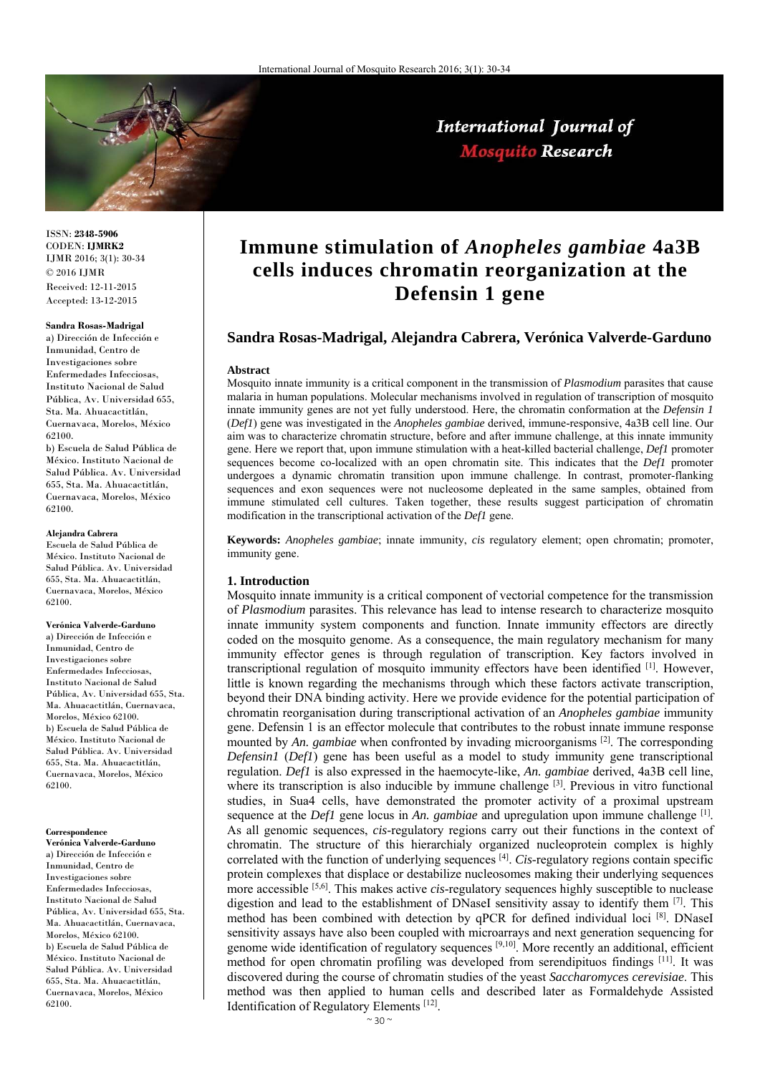

# International Journal of **Mosquito Research**

ISSN: **2348-5906** CODEN: **IJMRK2** IJMR 2016; 3(1): 30-34  $\odot$  2016 IJMR Received: 12-11-2015 Accepted: 13-12-2015

#### **Sandra Rosas-Madrigal**

a) Dirección de Infección e Inmunidad, Centro de Investigaciones sobre Enfermedades Infecciosas, Instituto Nacional de Salud Pública, Av. Universidad 655, Sta. Ma. Ahuacactitlán, Cuernavaca, Morelos, México 62100.

b) Escuela de Salud Pública de México. Instituto Nacional de Salud Pública. Av. Universidad 655, Sta. Ma. Ahuacactitlán, Cuernavaca, Morelos, México 62100.

### **Alejandra Cabrera**

Escuela de Salud Pública de México. Instituto Nacional de Salud Pública. Av. Universidad 655, Sta. Ma. Ahuacactitlán, Cuernavaca, Morelos, México 62100.

**Verónica Valverde-Garduno**  a) Dirección de Infección e Inmunidad, Centro de Investigaciones sobre Enfermedades Infecciosas, Instituto Nacional de Salud Pública, Av. Universidad 655, Sta. Ma. Ahuacactitlán, Cuernavaca, Morelos, México 62100. b) Escuela de Salud Pública de México. Instituto Nacional de Salud Pública. Av. Universidad 655, Sta. Ma. Ahuacactitlán, Cuernavaca, Morelos, México 62100.

#### **Correspondence**

**Verónica Valverde-Garduno**  a) Dirección de Infección e Inmunidad, Centro de Investigaciones sobre Enfermedades Infecciosas, Instituto Nacional de Salud Pública, Av. Universidad 655, Sta. Ma. Ahuacactitlán, Cuernavaca, Morelos, México 62100. b) Escuela de Salud Pública de México. Instituto Nacional de Salud Pública. Av. Universidad 655, Sta. Ma. Ahuacactitlán, Cuernavaca, Morelos, México 62100.

# **Immune stimulation of** *Anopheles gambiae* **4a3B cells induces chromatin reorganization at the Defensin 1 gene**

# **Sandra Rosas-Madrigal, Alejandra Cabrera, Verónica Valverde-Garduno**

#### **Abstract**

Mosquito innate immunity is a critical component in the transmission of *Plasmodium* parasites that cause malaria in human populations. Molecular mechanisms involved in regulation of transcription of mosquito innate immunity genes are not yet fully understood. Here, the chromatin conformation at the *Defensin 1* (*Def1*) gene was investigated in the *Anopheles gambiae* derived, immune-responsive, 4a3B cell line. Our aim was to characterize chromatin structure, before and after immune challenge, at this innate immunity gene. Here we report that, upon immune stimulation with a heat-killed bacterial challenge, *Def1* promoter sequences become co-localized with an open chromatin site. This indicates that the *Def1* promoter undergoes a dynamic chromatin transition upon immune challenge. In contrast, promoter-flanking sequences and exon sequences were not nucleosome depleated in the same samples, obtained from immune stimulated cell cultures. Taken together, these results suggest participation of chromatin modification in the transcriptional activation of the *Def1* gene.

**Keywords:** *Anopheles gambiae*; innate immunity, *cis* regulatory element; open chromatin; promoter, immunity gene.

### **1. Introduction**

Mosquito innate immunity is a critical component of vectorial competence for the transmission of *Plasmodium* parasites. This relevance has lead to intense research to characterize mosquito innate immunity system components and function. Innate immunity effectors are directly coded on the mosquito genome. As a consequence, the main regulatory mechanism for many immunity effector genes is through regulation of transcription. Key factors involved in transcriptional regulation of mosquito immunity effectors have been identified [1]. However, little is known regarding the mechanisms through which these factors activate transcription, beyond their DNA binding activity. Here we provide evidence for the potential participation of chromatin reorganisation during transcriptional activation of an *Anopheles gambiae* immunity gene. Defensin 1 is an effector molecule that contributes to the robust innate immune response mounted by An. *gambiae* when confronted by invading microorganisms  $^{[2]}$ . The corresponding *Defensin1* (*Def1*) gene has been useful as a model to study immunity gene transcriptional regulation. *Def1* is also expressed in the haemocyte-like, *An. gambiae* derived, 4a3B cell line, where its transcription is also inducible by immune challenge [3]. Previous in vitro functional studies, in Sua4 cells, have demonstrated the promoter activity of a proximal upstream sequence at the *Def1* gene locus in *An. gambiae* and upregulation upon immune challenge <sup>[1]</sup>. As all genomic sequences, *cis*-regulatory regions carry out their functions in the context of chromatin. The structure of this hierarchialy organized nucleoprotein complex is highly correlated with the function of underlying sequences [4]. *Cis*-regulatory regions contain specific protein complexes that displace or destabilize nucleosomes making their underlying sequences more accessible [5,6]. This makes active *cis*-regulatory sequences highly susceptible to nuclease digestion and lead to the establishment of DNaseI sensitivity assay to identify them [7]. This method has been combined with detection by qPCR for defined individual loci [8]. DNaseI sensitivity assays have also been coupled with microarrays and next generation sequencing for genome wide identification of regulatory sequences [9,10]. More recently an additional, efficient method for open chromatin profiling was developed from serendipituos findings [11]. It was discovered during the course of chromatin studies of the yeast *Saccharomyces cerevisiae*. This method was then applied to human cells and described later as Formaldehyde Assisted Identification of Regulatory Elements [12].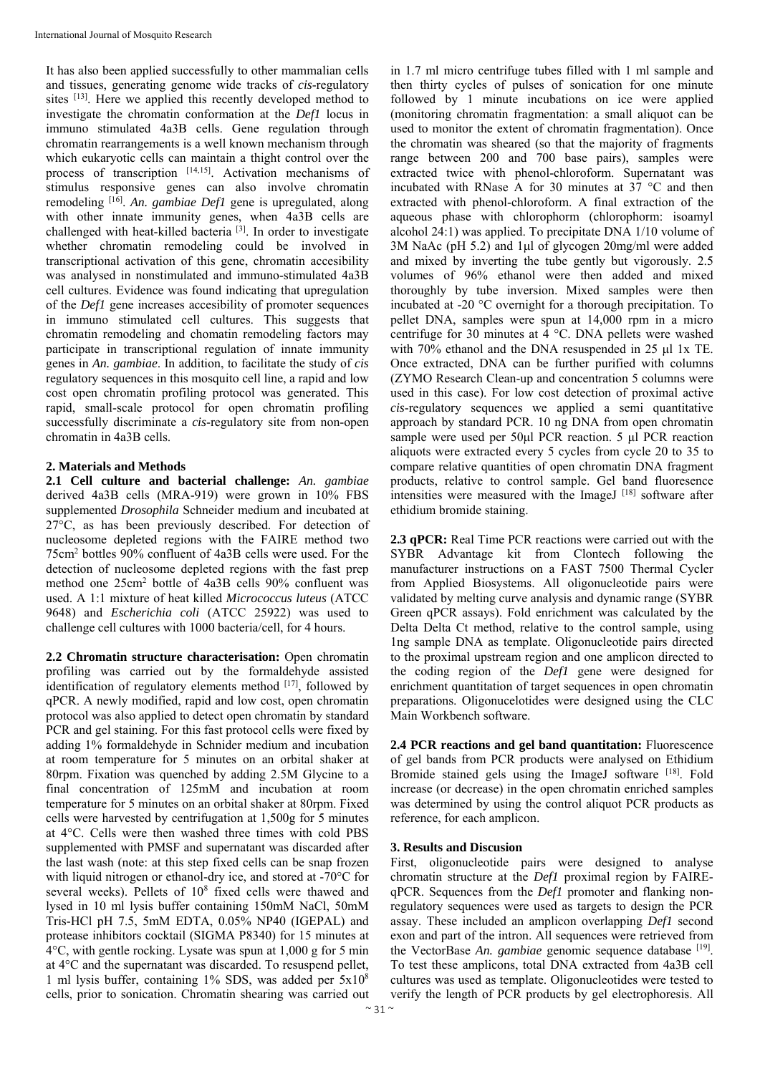It has also been applied successfully to other mammalian cells and tissues, generating genome wide tracks of *cis*-regulatory sites [13]. Here we applied this recently developed method to investigate the chromatin conformation at the *Def1* locus in immuno stimulated 4a3B cells. Gene regulation through chromatin rearrangements is a well known mechanism through which eukaryotic cells can maintain a thight control over the process of transcription [14,15]. Activation mechanisms of stimulus responsive genes can also involve chromatin remodeling [16]. *An. gambiae Def1* gene is upregulated, along with other innate immunity genes, when 4a3B cells are challenged with heat-killed bacteria [3]. In order to investigate whether chromatin remodeling could be involved in transcriptional activation of this gene, chromatin accesibility was analysed in nonstimulated and immuno-stimulated 4a3B cell cultures. Evidence was found indicating that upregulation of the *Def1* gene increases accesibility of promoter sequences in immuno stimulated cell cultures. This suggests that chromatin remodeling and chomatin remodeling factors may participate in transcriptional regulation of innate immunity genes in *An. gambiae*. In addition, to facilitate the study of *cis* regulatory sequences in this mosquito cell line, a rapid and low cost open chromatin profiling protocol was generated. This rapid, small-scale protocol for open chromatin profiling successfully discriminate a *cis*-regulatory site from non-open chromatin in 4a3B cells.

# **2. Materials and Methods**

**2.1 Cell culture and bacterial challenge:** *An. gambiae* derived 4a3B cells (MRA-919) were grown in 10% FBS supplemented *Drosophila* Schneider medium and incubated at 27°C, as has been previously described. For detection of nucleosome depleted regions with the FAIRE method two 75cm2 bottles 90% confluent of 4a3B cells were used. For the detection of nucleosome depleted regions with the fast prep method one 25cm2 bottle of 4a3B cells 90% confluent was used. A 1:1 mixture of heat killed *Micrococcus luteus* (ATCC 9648) and *Escherichia coli* (ATCC 25922) was used to challenge cell cultures with 1000 bacteria/cell, for 4 hours.

**2.2 Chromatin structure characterisation:** Open chromatin profiling was carried out by the formaldehyde assisted identification of regulatory elements method  $[17]$ , followed by qPCR. A newly modified, rapid and low cost, open chromatin protocol was also applied to detect open chromatin by standard PCR and gel staining. For this fast protocol cells were fixed by adding 1% formaldehyde in Schnider medium and incubation at room temperature for 5 minutes on an orbital shaker at 80rpm. Fixation was quenched by adding 2.5M Glycine to a final concentration of 125mM and incubation at room temperature for 5 minutes on an orbital shaker at 80rpm. Fixed cells were harvested by centrifugation at 1,500g for 5 minutes at 4°C. Cells were then washed three times with cold PBS supplemented with PMSF and supernatant was discarded after the last wash (note: at this step fixed cells can be snap frozen with liquid nitrogen or ethanol-dry ice, and stored at -70<sup>o</sup>C for several weeks). Pellets of  $10^8$  fixed cells were thawed and lysed in 10 ml lysis buffer containing 150mM NaCl, 50mM Tris-HCl pH 7.5, 5mM EDTA, 0.05% NP40 (IGEPAL) and protease inhibitors cocktail (SIGMA P8340) for 15 minutes at 4°C, with gentle rocking. Lysate was spun at 1,000 g for 5 min at 4°C and the supernatant was discarded. To resuspend pellet, 1 ml lysis buffer, containing 1% SDS, was added per 5x108 cells, prior to sonication. Chromatin shearing was carried out

in 1.7 ml micro centrifuge tubes filled with 1 ml sample and then thirty cycles of pulses of sonication for one minute followed by 1 minute incubations on ice were applied (monitoring chromatin fragmentation: a small aliquot can be used to monitor the extent of chromatin fragmentation). Once the chromatin was sheared (so that the majority of fragments range between 200 and 700 base pairs), samples were extracted twice with phenol-chloroform. Supernatant was incubated with RNase A for 30 minutes at 37 °C and then extracted with phenol-chloroform. A final extraction of the aqueous phase with chlorophorm (chlorophorm: isoamyl alcohol 24:1) was applied. To precipitate DNA 1/10 volume of 3M NaAc (pH 5.2) and 1μl of glycogen 20mg/ml were added and mixed by inverting the tube gently but vigorously. 2.5 volumes of 96% ethanol were then added and mixed thoroughly by tube inversion. Mixed samples were then incubated at -20 °C overnight for a thorough precipitation. To pellet DNA, samples were spun at 14,000 rpm in a micro centrifuge for 30 minutes at 4 °C. DNA pellets were washed with 70% ethanol and the DNA resuspended in 25 μl 1x TE. Once extracted, DNA can be further purified with columns (ZYMO Research Clean-up and concentration 5 columns were used in this case). For low cost detection of proximal active *cis*-regulatory sequences we applied a semi quantitative approach by standard PCR. 10 ng DNA from open chromatin sample were used per 50μl PCR reaction. 5 μl PCR reaction aliquots were extracted every 5 cycles from cycle 20 to 35 to compare relative quantities of open chromatin DNA fragment products, relative to control sample. Gel band fluoresence intensities were measured with the ImageJ<sup>[18]</sup> software after ethidium bromide staining.

**2.3 qPCR:** Real Time PCR reactions were carried out with the SYBR Advantage kit from Clontech following the manufacturer instructions on a FAST 7500 Thermal Cycler from Applied Biosystems. All oligonucleotide pairs were validated by melting curve analysis and dynamic range (SYBR Green qPCR assays). Fold enrichment was calculated by the Delta Delta Ct method, relative to the control sample, using 1ng sample DNA as template. Oligonucleotide pairs directed to the proximal upstream region and one amplicon directed to the coding region of the *Def1* gene were designed for enrichment quantitation of target sequences in open chromatin preparations. Oligonucelotides were designed using the CLC Main Workbench software.

**2.4 PCR reactions and gel band quantitation:** Fluorescence of gel bands from PCR products were analysed on Ethidium Bromide stained gels using the ImageJ software [18]. Fold increase (or decrease) in the open chromatin enriched samples was determined by using the control aliquot PCR products as reference, for each amplicon.

# **3. Results and Discusion**

First, oligonucleotide pairs were designed to analyse chromatin structure at the *Def1* proximal region by FAIREqPCR. Sequences from the *Def1* promoter and flanking nonregulatory sequences were used as targets to design the PCR assay. These included an amplicon overlapping *Def1* second exon and part of the intron. All sequences were retrieved from the VectorBase *An. gambiae* genomic sequence database [19]. To test these amplicons, total DNA extracted from 4a3B cell cultures was used as template. Oligonucleotides were tested to verify the length of PCR products by gel electrophoresis. All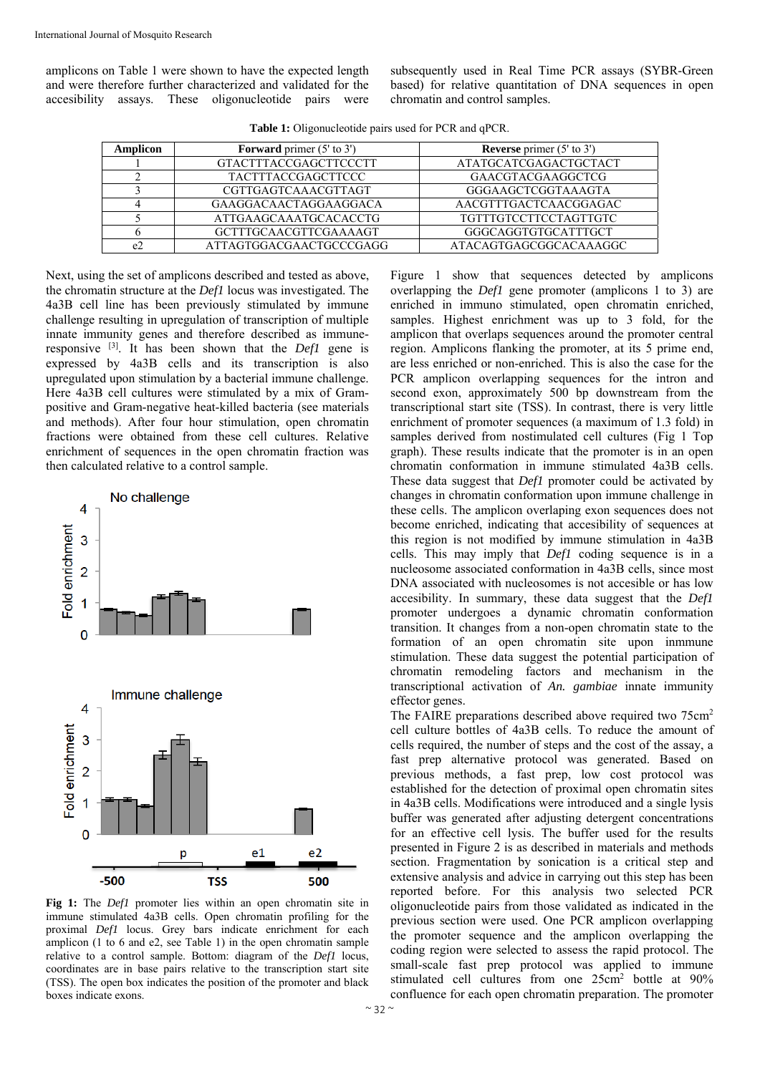amplicons on Table 1 were shown to have the expected length and were therefore further characterized and validated for the accesibility assays. These oligonucleotide pairs were subsequently used in Real Time PCR assays (SYBR-Green based) for relative quantitation of DNA sequences in open chromatin and control samples.

| <b>Amplicon</b> | <b>Forward</b> primer $(5'$ to $3')$ | <b>Reverse</b> primer $(5'$ to $3')$ |
|-----------------|--------------------------------------|--------------------------------------|
|                 | <b>GTACTTTACCGAGCTTCCCTT</b>         | ATATGCATCGAGACTGCTACT                |
|                 | <b>TACTTTACCGAGCTTCCC</b>            | GAACGTACGAAGGCTCG                    |
|                 | CGTTGAGTCAAACGTTAGT                  | GGGAAGCTCGGTAAAGTA                   |
|                 | GAAGGACAACTAGGAAGGACA                | AACGTTTGACTCAACGGAGAC                |
|                 | ATTGAAGCAAATGCACACCTG                | <b>TGTTTGTCCTTCCTAGTTGTC</b>         |
|                 | <b>GCTTTGCAACGTTCGAAAAGT</b>         | GGGCAGGTGTGCATTTGCT                  |
| e2              | ATTAGTGGACGAACTGCCCGAGG              | ATACAGTGAGCGGCACAAAGGC               |

**Table 1:** Oligonucleotide pairs used for PCR and qPCR.

Next, using the set of amplicons described and tested as above, the chromatin structure at the *Def1* locus was investigated. The 4a3B cell line has been previously stimulated by immune challenge resulting in upregulation of transcription of multiple innate immunity genes and therefore described as immuneresponsive [3]. It has been shown that the *Def1* gene is expressed by 4a3B cells and its transcription is also upregulated upon stimulation by a bacterial immune challenge. Here 4a3B cell cultures were stimulated by a mix of Grampositive and Gram-negative heat-killed bacteria (see materials and methods). After four hour stimulation, open chromatin fractions were obtained from these cell cultures. Relative enrichment of sequences in the open chromatin fraction was then calculated relative to a control sample.



**Fig 1:** The *Def1* promoter lies within an open chromatin site in immune stimulated 4a3B cells. Open chromatin profiling for the proximal *Def1* locus. Grey bars indicate enrichment for each amplicon (1 to 6 and e2, see Table 1) in the open chromatin sample relative to a control sample. Bottom: diagram of the *Def1* locus, coordinates are in base pairs relative to the transcription start site (TSS). The open box indicates the position of the promoter and black boxes indicate exons.

Figure 1 show that sequences detected by amplicons overlapping the *Def1* gene promoter (amplicons 1 to 3) are enriched in immuno stimulated, open chromatin enriched, samples. Highest enrichment was up to 3 fold, for the amplicon that overlaps sequences around the promoter central region. Amplicons flanking the promoter, at its 5 prime end, are less enriched or non-enriched. This is also the case for the PCR amplicon overlapping sequences for the intron and second exon, approximately 500 bp downstream from the transcriptional start site (TSS). In contrast, there is very little enrichment of promoter sequences (a maximum of 1.3 fold) in samples derived from nostimulated cell cultures (Fig 1 Top graph). These results indicate that the promoter is in an open chromatin conformation in immune stimulated 4a3B cells. These data suggest that *Def1* promoter could be activated by changes in chromatin conformation upon immune challenge in these cells. The amplicon overlaping exon sequences does not become enriched, indicating that accesibility of sequences at this region is not modified by immune stimulation in 4a3B cells. This may imply that *Def1* coding sequence is in a nucleosome associated conformation in 4a3B cells, since most DNA associated with nucleosomes is not accesible or has low accesibility. In summary, these data suggest that the *Def1* promoter undergoes a dynamic chromatin conformation transition. It changes from a non-open chromatin state to the formation of an open chromatin site upon inmmune stimulation. These data suggest the potential participation of chromatin remodeling factors and mechanism in the transcriptional activation of *An. gambiae* innate immunity effector genes.

The FAIRE preparations described above required two 75cm2 cell culture bottles of 4a3B cells. To reduce the amount of cells required, the number of steps and the cost of the assay, a fast prep alternative protocol was generated. Based on previous methods, a fast prep, low cost protocol was established for the detection of proximal open chromatin sites in 4a3B cells. Modifications were introduced and a single lysis buffer was generated after adjusting detergent concentrations for an effective cell lysis. The buffer used for the results presented in Figure 2 is as described in materials and methods section. Fragmentation by sonication is a critical step and extensive analysis and advice in carrying out this step has been reported before. For this analysis two selected PCR oligonucleotide pairs from those validated as indicated in the previous section were used. One PCR amplicon overlapping the promoter sequence and the amplicon overlapping the coding region were selected to assess the rapid protocol. The small-scale fast prep protocol was applied to immune stimulated cell cultures from one 25cm2 bottle at 90% confluence for each open chromatin preparation. The promoter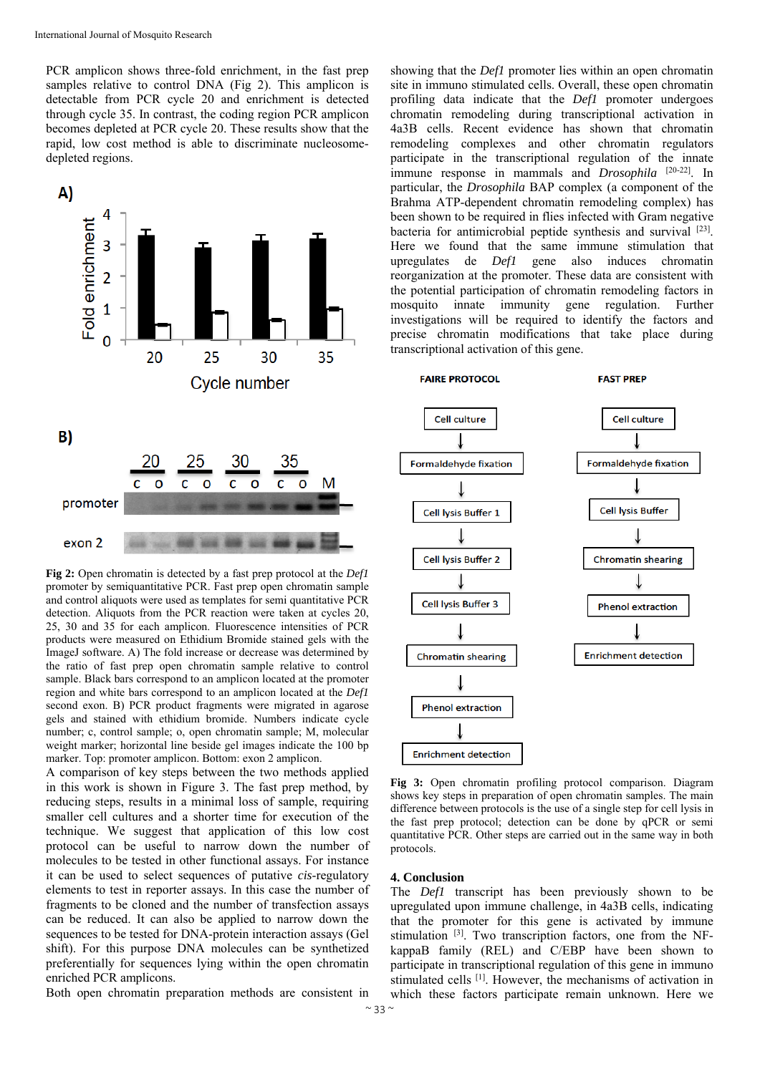PCR amplicon shows three-fold enrichment, in the fast prep samples relative to control DNA (Fig 2). This amplicon is detectable from PCR cycle 20 and enrichment is detected through cycle 35. In contrast, the coding region PCR amplicon becomes depleted at PCR cycle 20. These results show that the rapid, low cost method is able to discriminate nucleosomedepleted regions.



**Fig 2:** Open chromatin is detected by a fast prep protocol at the *Def1* promoter by semiquantitative PCR. Fast prep open chromatin sample and control aliquots were used as templates for semi quantitative PCR detection. Aliquots from the PCR reaction were taken at cycles 20, 25, 30 and 35 for each amplicon. Fluorescence intensities of PCR products were measured on Ethidium Bromide stained gels with the ImageJ software. A) The fold increase or decrease was determined by the ratio of fast prep open chromatin sample relative to control sample. Black bars correspond to an amplicon located at the promoter region and white bars correspond to an amplicon located at the *Def1* second exon. B) PCR product fragments were migrated in agarose gels and stained with ethidium bromide. Numbers indicate cycle number; c, control sample; o, open chromatin sample; M, molecular weight marker; horizontal line beside gel images indicate the 100 bp marker. Top: promoter amplicon. Bottom: exon 2 amplicon.

A comparison of key steps between the two methods applied in this work is shown in Figure 3. The fast prep method, by reducing steps, results in a minimal loss of sample, requiring smaller cell cultures and a shorter time for execution of the technique. We suggest that application of this low cost protocol can be useful to narrow down the number of molecules to be tested in other functional assays. For instance it can be used to select sequences of putative *cis*-regulatory elements to test in reporter assays. In this case the number of fragments to be cloned and the number of transfection assays can be reduced. It can also be applied to narrow down the sequences to be tested for DNA-protein interaction assays (Gel shift). For this purpose DNA molecules can be synthetized preferentially for sequences lying within the open chromatin enriched PCR amplicons.

Both open chromatin preparation methods are consistent in

showing that the *Def1* promoter lies within an open chromatin site in immuno stimulated cells. Overall, these open chromatin profiling data indicate that the *Def1* promoter undergoes chromatin remodeling during transcriptional activation in 4a3B cells. Recent evidence has shown that chromatin remodeling complexes and other chromatin regulators participate in the transcriptional regulation of the innate immune response in mammals and *Drosophila* [20-22]. In particular, the *Drosophila* BAP complex (a component of the Brahma ATP-dependent chromatin remodeling complex) has been shown to be required in flies infected with Gram negative bacteria for antimicrobial peptide synthesis and survival [23]. Here we found that the same immune stimulation that upregulates de *Def1* gene also induces chromatin reorganization at the promoter. These data are consistent with the potential participation of chromatin remodeling factors in mosquito innate immunity gene regulation. Further investigations will be required to identify the factors and precise chromatin modifications that take place during transcriptional activation of this gene.

**FAIRE PROTOCOL** 

**FAST PRFP** 



**Fig 3:** Open chromatin profiling protocol comparison. Diagram shows key steps in preparation of open chromatin samples. The main difference between protocols is the use of a single step for cell lysis in the fast prep protocol; detection can be done by qPCR or semi quantitative PCR. Other steps are carried out in the same way in both protocols.

## **4. Conclusion**

The *Def1* transcript has been previously shown to be upregulated upon immune challenge, in 4a3B cells, indicating that the promoter for this gene is activated by immune stimulation <sup>[3]</sup>. Two transcription factors, one from the NFkappaB family (REL) and C/EBP have been shown to participate in transcriptional regulation of this gene in immuno stimulated cells <sup>[1]</sup>. However, the mechanisms of activation in which these factors participate remain unknown. Here we